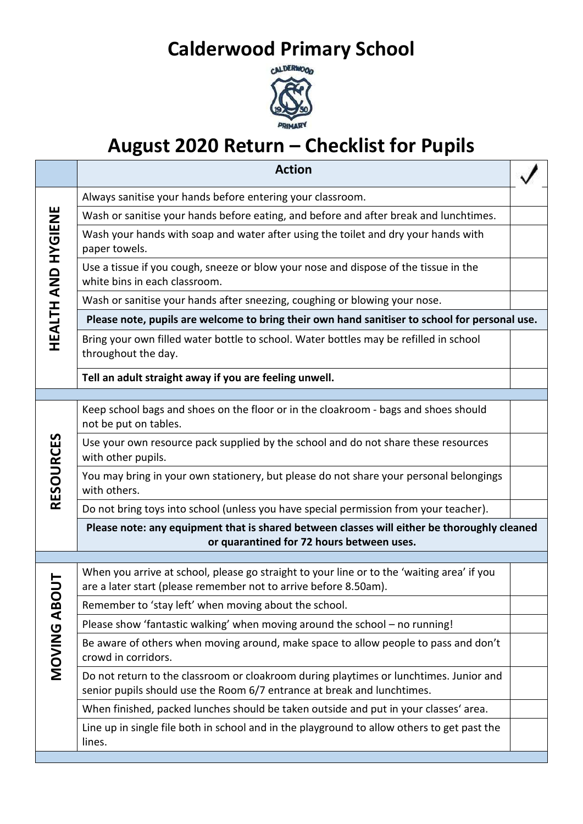## **Calderwood Primary School**



## **August 2020 Return – Checklist for Pupils**

|                    | <b>Action</b>                                                                                                                                                     |  |
|--------------------|-------------------------------------------------------------------------------------------------------------------------------------------------------------------|--|
| HEALTH AND HYGIENE | Always sanitise your hands before entering your classroom.                                                                                                        |  |
|                    | Wash or sanitise your hands before eating, and before and after break and lunchtimes.                                                                             |  |
|                    | Wash your hands with soap and water after using the toilet and dry your hands with<br>paper towels.                                                               |  |
|                    | Use a tissue if you cough, sneeze or blow your nose and dispose of the tissue in the<br>white bins in each classroom.                                             |  |
|                    | Wash or sanitise your hands after sneezing, coughing or blowing your nose.                                                                                        |  |
|                    | Please note, pupils are welcome to bring their own hand sanitiser to school for personal use.                                                                     |  |
|                    | Bring your own filled water bottle to school. Water bottles may be refilled in school<br>throughout the day.                                                      |  |
|                    | Tell an adult straight away if you are feeling unwell.                                                                                                            |  |
|                    |                                                                                                                                                                   |  |
| <b>RESOURCES</b>   | Keep school bags and shoes on the floor or in the cloakroom - bags and shoes should<br>not be put on tables.                                                      |  |
|                    | Use your own resource pack supplied by the school and do not share these resources<br>with other pupils.                                                          |  |
|                    | You may bring in your own stationery, but please do not share your personal belongings<br>with others.                                                            |  |
|                    | Do not bring toys into school (unless you have special permission from your teacher).                                                                             |  |
|                    | Please note: any equipment that is shared between classes will either be thoroughly cleaned<br>or quarantined for 72 hours between uses.                          |  |
|                    |                                                                                                                                                                   |  |
| MOVING AB          | When you arrive at school, please go straight to your line or to the 'waiting area' if you<br>are a later start (please remember not to arrive before 8.50am).    |  |
|                    | Remember to 'stay left' when moving about the school.                                                                                                             |  |
|                    | Please show 'fantastic walking' when moving around the school - no running!                                                                                       |  |
|                    | Be aware of others when moving around, make space to allow people to pass and don't<br>crowd in corridors.                                                        |  |
|                    | Do not return to the classroom or cloakroom during playtimes or lunchtimes. Junior and<br>senior pupils should use the Room 6/7 entrance at break and lunchtimes. |  |
|                    | When finished, packed lunches should be taken outside and put in your classes' area.                                                                              |  |
|                    | Line up in single file both in school and in the playground to allow others to get past the<br>lines.                                                             |  |